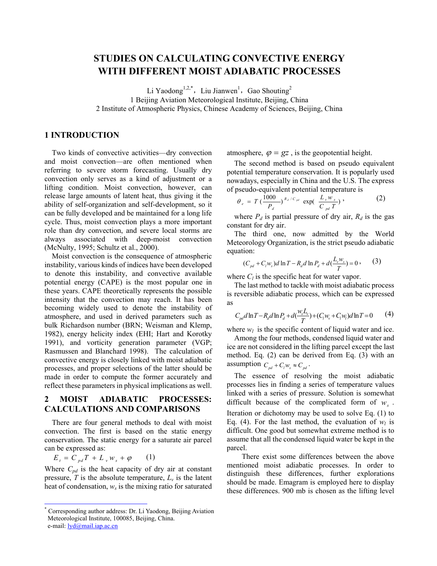# **STUDIES ON CALCULATING CONVECTIVE ENERGY WITH DIFFERENT MOIST ADIABATIC PROCESSES**

Li Yaodong<sup>1,2[,\\*](#page-0-0)</sup>, Liu Jianwen<sup>1</sup>, Gao Shouting<sup>2</sup> 1 Beijing Aviation Meteorological Institute, Beijing, China 2 Institute of Atmospheric Physics, Chinese Academy of Sciences, Beijing, China

## **1 INTRODUCTION**

Two kinds of convective activities—dry convection and moist convection—are often mentioned when referring to severe storm forecasting. Usually dry convection only serves as a kind of adjustment or a lifting condition. Moist convection, however, can release large amounts of latent heat, thus giving it the ability of self-organization and self-development, so it can be fully developed and be maintained for a long life cycle. Thus, moist convection plays a more important role than dry convection, and severe local storms are always associated with deep-moist convection (McNulty, 1995; Schultz et al., 2000).

Moist convection is the consequence of atmospheric instability, various kinds of indices have been developed to denote this instability, and convective available potential energy (CAPE) is the most popular one in these years. CAPE theoretically represents the possible intensity that the convection may reach. It has been becoming widely used to denote the instability of atmosphere, and used in derived parameters such as bulk Richardson number (BRN; Weisman and Klemp, 1982), energy helicity index (EHI; Hart and Korotky 1991), and vorticity generation parameter (VGP; Rasmussen and Blanchard 1998). The calculation of convective energy is closely linked with moist adiabatic processes, and proper selections of the latter should be made in order to compute the former accurately and reflect these parameters in physical implications as well.

### **2 MOIST ADIABATIC PROCESSES: CALCULATIONS AND COMPARISONS**

There are four general methods to deal with moist convection. The first is based on the static energy conservation. The static energy for a saturate air parcel can be expressed as:

 $E_t = C_{pd} T + L_v w_s + \varphi$  (1)

Where  $C_{pd}$  is the heat capacity of dry air at constant pressure,  $T$  is the absolute temperature,  $L<sub>v</sub>$  is the latent heat of condensation,  $w_s$  is the mixing ratio for saturated atmosphere,  $\varphi = gz$ , is the geopotential height.

The second method is based on pseudo equivalent potential temperature conservation. It is popularly used nowadays, especially in China and the U.S. The express of pseudo-equivalent potential temperature is

$$
\theta_e = T \left( \frac{1000}{P_d} \right)^{R_d / C_{pd}} \exp \left( \frac{L_v w_s}{C_{pd} T} \right), \qquad (2)
$$

where  $P_d$  is partial pressure of dry air,  $R_d$  is the gas constant for dry air.

The third one, now admitted by the World Meteorology Organization, is the strict pseudo adiabatic equation:

$$
(C_{pd} + C_i w_s) d \ln T - R_d d \ln P_d + d \left( \frac{L_v w_s}{T} \right) = 0, \quad (3)
$$

where  $C_l$  is the specific heat for water vapor.

The last method to tackle with moist adiabatic process is reversible adiabatic process, which can be expressed as

$$
C_{pd}d\ln T - R_d d\ln P_d + d\left(\frac{w_s L_v}{T}\right) + (C_l w_v + C_l w_l) d\ln T = 0 \tag{4}
$$

where  $w_l$  is the specific content of liquid water and ice.

Among the four methods, condensed liquid water and ice are not considered in the lifting parcel except the last method. Eq. (2) can be derived from Eq. (3) with an assumption  $C_{pd} + C_l w_s \approx C_{pd}$ .

The essence of resolving the moist adiabatic processes lies in finding a series of temperature values linked with a series of pressure. Solution is somewhat difficult because of the complicated form of  $w<sub>s</sub>$ . Iteration or dichotomy may be used to solve Eq. (1) to Eq. (4). For the last method, the evaluation of  $w_l$  is difficult. One good but somewhat extreme method is to assume that all the condensed liquid water be kept in the parcel.

There exist some differences between the above mentioned moist adiabatic processes. In order to distinguish these differences, further explorations should be made. Emagram is employed here to display these differences. 900 mb is chosen as the lifting level

<span id="page-0-0"></span> <sup>\*</sup> Corresponding author address: Dr. Li Yaodong, Beijing Aviation Meteorological Institute, 100085, Beijing, China. e-mail: <u>[lyd@mail.iap.ac.cn](mailto:lyd@mail.iap.ac.cn)</u>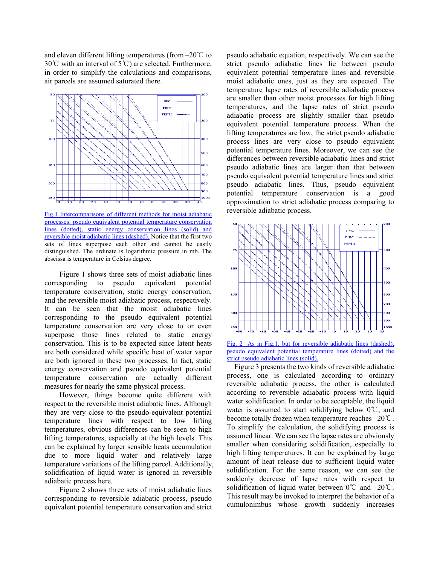and eleven different lifting temperatures (from –20℃ to 30°C with an interval of  $5^{\circ}$ C) are selected. Furthermore, in order to simplify the calculations and comparisons, air parcels are assumed saturated there.



Fig.1 Intercomparisons of different methods for moist adiabatic processes: pseudo equivalent potential temperature conservation lines (dotted), static energy conservation lines (solid) and reversible moist adiabatic lines (dashed). Notice that the first two sets of lines superpose each other and cannot be easily distinguished. The ordinate is logarithmic pressure in mb. The abscissa is temperature in Celsius degree.

Figure 1 shows three sets of moist adiabatic lines corresponding to pseudo equivalent potential temperature conservation, static energy conservation, and the reversible moist adiabatic process, respectively. It can be seen that the moist adiabatic lines corresponding to the pseudo equivalent potential temperature conservation are very close to or even superpose those lines related to static energy conservation. This is to be expected since latent heats are both considered while specific heat of water vapor are both ignored in these two processes. In fact, static energy conservation and pseudo equivalent potential temperature conservation are actually different measures for nearly the same physical process.

However, things become quite different with respect to the reversible moist adiabatic lines. Although they are very close to the pseudo-equivalent potential temperature lines with respect to low lifting temperatures, obvious differences can be seen to high lifting temperatures, especially at the high levels. This can be explained by larger sensible heats accumulation due to more liquid water and relatively large temperature variations of the lifting parcel. Additionally, solidification of liquid water is ignored in reversible adiabatic process here.

Figure 2 shows three sets of moist adiabatic lines corresponding to reversible adiabatic process, pseudo equivalent potential temperature conservation and strict pseudo adiabatic equation, respectively. We can see the strict pseudo adiabatic lines lie between pseudo equivalent potential temperature lines and reversible moist adiabatic ones, just as they are expected. The temperature lapse rates of reversible adiabatic process are smaller than other moist processes for high lifting temperatures, and the lapse rates of strict pseudo adiabatic process are slightly smaller than pseudo equivalent potential temperature process. When the lifting temperatures are low, the strict pseudo adiabatic process lines are very close to pseudo equivalent potential temperature lines. Moreover, we can see the differences between reversible adiabatic lines and strict pseudo adiabatic lines are larger than that between pseudo equivalent potential temperature lines and strict pseudo adiabatic lines. Thus, pseudo equivalent potential temperature conservation is a good approximation to strict adiabatic process comparing to reversible adiabatic process.





Figure 3 presents the two kinds of reversible adiabatic process, one is calculated according to ordinary reversible adiabatic process, the other is calculated according to reversible adiabatic process with liquid water solidification. In order to be acceptable, the liquid water is assumed to start solidifying below 0℃, and become totally frozen when temperature reaches –20℃. To simplify the calculation, the solidifying process is assumed linear. We can see the lapse rates are obviously smaller when considering solidification, especially to high lifting temperatures. It can be explained by large amount of heat release due to sufficient liquid water solidification. For the same reason, we can see the suddenly decrease of lapse rates with respect to solidification of liquid water between 0℃ and –20℃. This result may be invoked to interpret the behavior of a cumulonimbus whose growth suddenly increases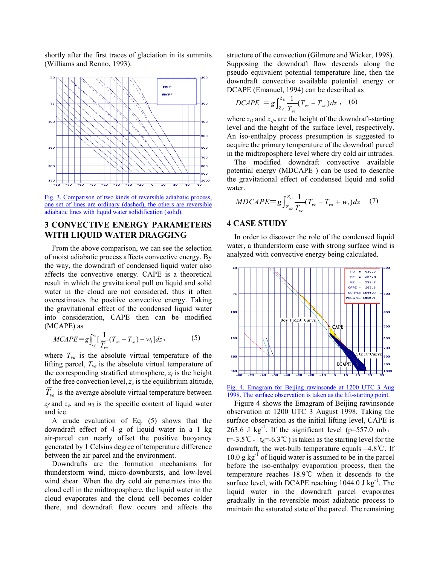shortly after the first traces of glaciation in its summits (Williams and Renno, 1993).



Fig. 3. Comparison of two kinds of reversible adiabatic process, one set of lines are ordinary (dashed), the others are reversible adiabatic lines with liquid water solidification (solid).

## **3 CONVECTIVE ENERGY PARAMETERS WITH LIQUID WATER DRAGGING**

From the above comparison, we can see the selection of moist adiabatic process affects convective energy. By the way, the downdraft of condensed liquid water also affects the convective energy. CAPE is a theoretical result in which the gravitational pull on liquid and solid water in the cloud are not considered, thus it often overestimates the positive convective energy. Taking the gravitational effect of the condensed liquid water into consideration, CAPE then can be modified (MCAPE) as

$$
MCAPE = g \int_{z_f}^{z_e} \left[ \frac{1}{\overline{T}_{ve}} (T_{va} - T_{ve}) - w_l \right] dz, \tag{5}
$$

where  $T_{va}$  is the absolute virtual temperature of the lifting parcel,  $T_{ve}$  is the absolute virtual temperature of the corresponding stratified atmosphere,  $z_f$  is the height of the free convection level,  $z_e$  is the equilibrium altitude,  $T_{ve}$  is the average absolute virtual temperature between  $z_f$  and  $z_e$ , and  $w_l$  is the specific content of liquid water and ice.

A crude evaluation of Eq. (5) shows that the downdraft effect of 4 g of liquid water in a 1 kg air-parcel can nearly offset the positive buoyancy generated by 1 Celsius degree of temperature difference between the air parcel and the environment.

Downdrafts are the formation mechanisms for thunderstorm wind, micro-downbursts, and low-level wind shear. When the dry cold air penetrates into the cloud cell in the midtroposphere, the liquid water in the cloud evaporates and the cloud cell becomes colder there, and downdraft flow occurs and affects the structure of the convection (Gilmore and Wicker, 1998). Supposing the downdraft flow descends along the pseudo equivalent potential temperature line, then the downdraft convective available potential energy or DCAPE (Emanuel, 1994) can be described as

$$
DCAPE = g \int_{Z_{y_e}}^{Z_D} \frac{1}{\overline{T}_{ve}} (T_{ve} - T_{va}) dz , \quad (6)
$$

where  $z_D$  and  $z_{sfc}$  are the height of the downdraft-starting level and the height of the surface level, respectively. An iso-enthalpy process presumption is suggested to acquire the primary temperature of the downdraft parcel in the midtroposphere level where dry cold air intrudes.

The modified downdraft convective available potential energy (MDCAPE ) can be used to describe the gravitational effect of condensed liquid and solid water.

$$
MDCAPE = g \int_{Z_{yc}}^{Z_D} \frac{1}{\overline{T}_{ve}} (T_{ve} - T_{va} + w_l) dz \quad (7)
$$

#### **4 CASE STUDY**

In order to discover the role of the condensed liquid water, a thunderstorm case with strong surface wind is analyzed with convective energy being calculated.



Fig. 4. Emagram for Beijing rawinsonde at 1200 UTC 3 Aug 1998. The surface observation is taken as the lift-starting point.

Figure 4 shows the Emagram of Beijing rawinsonde observation at 1200 UTC 3 August 1998. Taking the surface observation as the initial lifting level, CAPE is 263.6 J kg<sup>-1</sup>. If the significant level ( $p=557.0$  mb, t=-3.5 °C,  $t_d$ =-6.3 °C) is taken as the starting level for the downdraft, the wet-bulb temperature equals –4.8℃. If  $10.0 \text{ g kg}^{-1}$  of liquid water is assumed to be in the parcel before the iso-enthalpy evaporation process, then the temperature reaches 18.9℃ when it descends to the surface level, with DCAPE reaching  $1044.0$  J kg<sup>-1</sup>. The liquid water in the downdraft parcel evaporates gradually in the reversible moist adiabatic process to maintain the saturated state of the parcel. The remaining